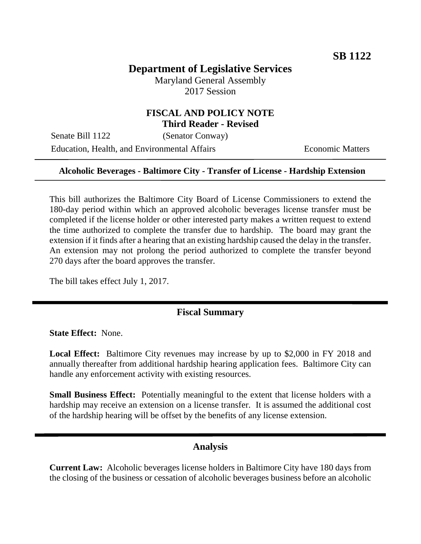# **Department of Legislative Services**

Maryland General Assembly 2017 Session

### **FISCAL AND POLICY NOTE Third Reader - Revised**

Senate Bill 1122 (Senator Conway) Education, Health, and Environmental Affairs **Economic Matters** 

#### **Alcoholic Beverages - Baltimore City - Transfer of License - Hardship Extension**

This bill authorizes the Baltimore City Board of License Commissioners to extend the 180-day period within which an approved alcoholic beverages license transfer must be completed if the license holder or other interested party makes a written request to extend the time authorized to complete the transfer due to hardship. The board may grant the extension if it finds after a hearing that an existing hardship caused the delay in the transfer. An extension may not prolong the period authorized to complete the transfer beyond 270 days after the board approves the transfer.

The bill takes effect July 1, 2017.

#### **Fiscal Summary**

**State Effect:** None.

**Local Effect:** Baltimore City revenues may increase by up to \$2,000 in FY 2018 and annually thereafter from additional hardship hearing application fees. Baltimore City can handle any enforcement activity with existing resources.

**Small Business Effect:** Potentially meaningful to the extent that license holders with a hardship may receive an extension on a license transfer. It is assumed the additional cost of the hardship hearing will be offset by the benefits of any license extension.

#### **Analysis**

**Current Law:** Alcoholic beverages license holders in Baltimore City have 180 days from the closing of the business or cessation of alcoholic beverages business before an alcoholic